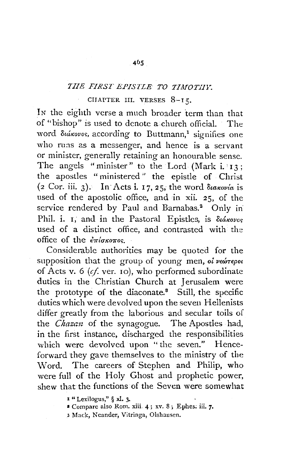## *TIIE FIRST EPISTLE TO TIMOTIIY.*

## CHAPTER III. VERSES  $8-15$ .

IN the eighth verse a much broader 'term than that of "bishop" is used to denote a church official. The word  $\delta u$ *ikovos*, according to Buttmann,<sup>1</sup> signifies one who runs as a messenger, and hence is a servant or minister, generally retaining an honourable sense. The angels " minister" to the Lord (Mark i. 13; the apostles "ministered" the epistle of Christ  $(2 \text{ Cor. iii. } 3)$ . In Acts i. 17, 25, the word  $\delta u \times w \times a$  is used of the apostolic office, and in xii. 25, of the service rendered by Paul and Barnabas.<sup>2</sup> Only in Phil. i. I, and in the Pastoral Epistles, is  $\delta u \acute{\alpha} n \nu o_S$ used of a distinct office, and contrasted with the office of the  $\epsilon_{\pi/\sigma\kappa o\pi o\kappa}$ .

Considerable authorities may be quoted for the supposition that the group of young men, of vewTepot of Acts v. 6 ( $cf.$  ver. 10), who performed subordinate duties in the Christian Church at Jerusalem were the prototype of the diaconate. $s$  Still, the specific duties which were devolved upon the seven Hellenists differ greatly from the laborious and secular toils of the *Chazan* of the synagogue. The Apostles had, in the first instance, discharged the responsibilities which were devolved upon "the seven." Henceforward they gave themselves to the ministry of the Word. The careers of Stephen and Philip, who were full of the Holy Ghost and prophetic power, shew that the functions of the Seven were somewhat

1 " Lexilogus," § xi. 3.

- a Compare also Ram. xiii. 4; xv. 8 ; Ephes; iii. 7·
- <sup>3</sup> Mack, Neander, Vitringa, Olshausen.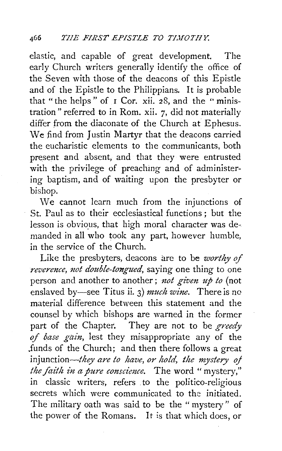elastic, and capable of great development. The early Church writers generally identify the office of the Seven with those of the deacons of this Epistle and of the Epistle to the Philippians. It *is* probable that "the helps" of  $\bar{1}$  Cor. xii. 28, and the "ministration" referred to in Rom. xii. 7, did not materially differ from the diaconate of the Church at Ephesus. We find from Justin Martyr that the deacons carried the eucharistic elements to the communicants, both present and absent, and that they were entrusted with the privilege of preaching and of administering baptism, and of waiting upon the presbyter or bishop.

We cannot learn much from the injunctions of St. Paul as to their ecclesiastical functions ; but the lesson is obvious, that high moral character was demanded in all who took any part, however humble, in the service of the Church.

Like the presbyters, deacons are to be *worthy of reverence, not double-tongued,* saying one thing to one person and another to another; *not given up to* (not enslaved by-see Titus ii. 3) *much wine.* There is no material difference between this statement and the counsel by which bishops are warned in the former part of the Chapter. They are not to be greedy *of base gain,* lest they misappropriate any of the .funds of the Church; and then there follows a great injunction-they *are to have, or hold, the mystery oj the faith in a pure conscience.* The word "mystery," in classic writers, refers to the politico-religious secrets which were communicated to the initiated. The military oath was said to be the " mystery" of the power of the Romans. It is that which does, or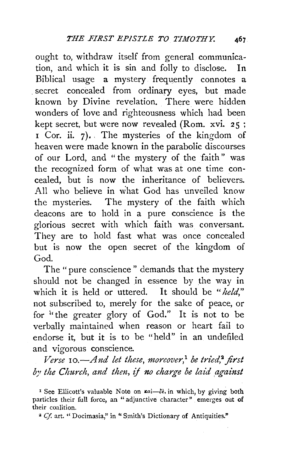ought to, withdraw itself from general communication, and which it is sin and folly to disclose. In Biblical usage a mystery frequently connotes a secret concealed from ordinary eyes, but made known by Divine revelation. There were hidden wonders of love and righteousness which had been kept secret, but were now revealed (Rom. xvi. 25 ; r Cor. ii. 7) •. The mysteries of the kingdom of heaven were made known in the parabolic discourses of our Lord, and "the mystery of the faith" was the recognized form of what was at one time concealed, but is now the inheritance of believers. All who believe in what God has unveiled know the mysteries. The mystery of the faith which deacons are to hold in a pure conscience is the glorious secret with which faith was conversant. They are to hold fast what was once concealed but is now the open secret of the kingdom of God.

The " pure conscience " demands that the mystery should not be changed in essence by the way in which it is held or uttered. It should be *"held,"*  not subscribed to, merely for the sake of peace, or for ''the greater glory of God." It is not to be verbally maintained when reason or heart fail to endorse it, but it is to be "held" in an undefiled and vigorous conscience.

*Verse* 10.—And let these, moreover,<sup>1</sup> be tried,<sup>2</sup> first *by the Church, and then, if no charge be laid against* 

<sup>1</sup> See Ellicott's valuable Note on  $\kappa a i - \delta \dot{\epsilon}$ , in which, by giving both particles their full force, an "adjunctive character" emerges out of their coalition.

<sup>2</sup> Cf. art. " Docimasia," in "Smith's Dictionary of Antiquities."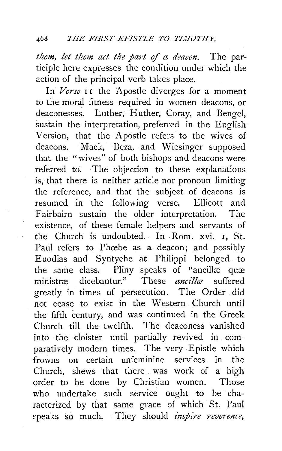*them, let them act the part of a deacon.* The participle here expresses the condition under which the action of the principal verb takes place.

In *Verse* 11 the Apostle diverges for a moment to the moral fitness required in women deacons, or deaconesses. Luther, Huther, Coray, and Bengel, sustain the interpretation, preferred in the English Version, that the Apostle refers to the wives of deacons. Mack, Beza, and Wiesinger supposed that the "wives" of both bishops and deacons were referred to. The objection to these explanations is, that there is neither article nor pronoun limiting the reference, and that the subject of deacons is resumed in the following verse. Ellicott and Fairbairn sustain the older interpretation. The existence, of these female helpers and servants of the Church is undoubted. In Rom. xvi. I, St. Paul refers to Phœbe as a deacon; and possibly Euodias and Syntyche at Philippi belonged to the same class. Pliny speaks of "ancill $\bar{x}$  quæ ministra dicebantur." These *ancilla* suffered greatly in times of persecution. The Order did not cease to exist in the Western Church until the fifth century, and was continued in the Greek Church till the twelfth. The deaconess vanished into the cloister until partially revived in comparatively modern times. The very. Epistle which frowns on certain unfeminine services in the Church, shews that there . was work of a high order to be done by Christian women. Those who undertake such service ought to be characterized by that same grace of which SL Paul fpeaks so much. They should *inspire reverence,*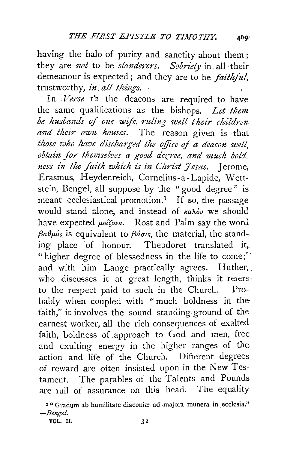having the halo of purity and sanctity about them; they are *not* to be *slanderers.* Sobriety in all their demeanour is expected; and they are to be *faithful*, trustworthy, *in all things*.

In *Verse 12* the deacons are required to have the same qualifications as the bishops. *Let them be husba1tds* of *one wife, ruling well their children and their own houses.* The reason given is that *those who have discharged the office* of *a deacon well, obtain for themselves a good degree, and much boldness in the faith which is in Christ 'fesus.* Jerome, Erasmus, Heydenreich, Cornelius-a- Lapide, Wettstein, Bengel, all suppose by the "good degree" is meant ecclesiastical promotion.<sup>1</sup> If so, the passage would stand alone, and instead of  $\kappa a \lambda_0^j v$  we should have expected  $\mu \in \mathcal{L}_{\text{Cov}}$ . Rost and Palm say the word.  $\beta a \theta \mu$ *is* equivalent to  $\beta a \sigma s$ , the material, the standing place of honour. Theodoret translated it, "higher degree of blessedness in the life to come;" and with him Lange practically agrees. Huther, who discusses it at great length, thinks it refers, to the respect paid to such in the Church. Probably when coupled with "much boldness in the faith," it involves the sound standing-ground of the earnest worker, all the rich consequences of exalted faith, boldness of approach to God and men, free and exulting energy in the higher ranges of the action and life of the Church. Diherent degrees of reward are often insisted upon in the New Testament. The parables of the Talents and Pounds are iull of assurance on this head. The equality

<sup>&</sup>lt;sup>1</sup> "Gradum ab humilitate diaconiæ ad majora munera in ecclesia."  $-$ *Bengel.*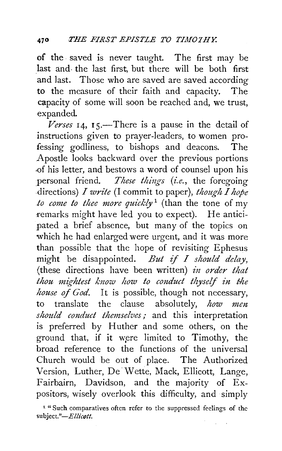of the . saved is never taught. The first may be last and- the last first, but there will be both first and last. Those who are saved are saved according to the measure of their faith and capacity. The capacity of some will soon be reached and, we trust, expanded.

 *14, 15.—There is a pause in the detail of* instructions given to prayer-leaders, to women professing godliness, to bishops and deacons. The Apostle looks backward over the previous portions .of his letter, and bestows a word of counsel upon his personal friend. *These things (i.e.*, the foregoing directions) *I write* (I commit to paper), *though I hope to come to thee more quickly*<sup>1</sup> (than the tone of my remarks might have led you to expect). He anticipated a brief absence, but many of the topics on which he had enlarged were urgent, and it was more than possible that the hope of revisiting Ephesus might be disappointed. *But* if *I should delay,*  (these directions have been written) *in order that* thou mightest know how to conduct thyself in the *house of God.* It is possible, though not necessary, to translate the clause absolutely, *how men sltould conduct themselves;* and this interpretation is preferred by Huther and some others, on the ground that, if it were limited to Timothy, the broad reference to the functions of the universal Church would be out of place. The Authorized Version, Luther, De Wette, Mack, Ellicott, Lange, Fairbairn, Davidson, and the majority of Expositors, wisely overlook this difficulty, and simply

<sup>&</sup>lt;sup>1</sup> "Such comparatives often refer to the suppressed feelings of the *subject."-Ellicott.*